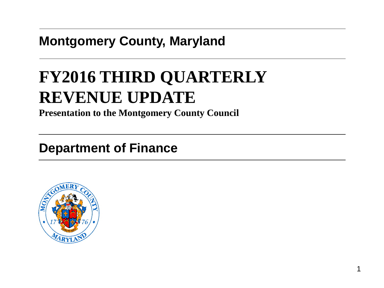### **Montgomery County, Maryland**

# **FY2016 THIRD QUARTERLY REVENUE UPDATE**

**Presentation to the Montgomery County Council**

### **Department of Finance**

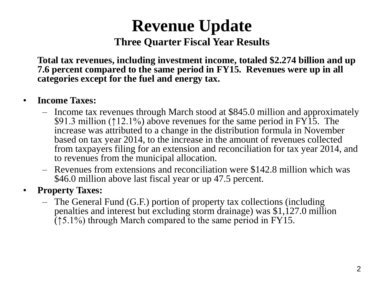## **Revenue Update Three Quarter Fiscal Year Results**

**Total tax revenues, including investment income, totaled \$2.274 billion and up 7.6 percent compared to the same period in FY15. Revenues were up in all categories except for the fuel and energy tax.**

#### • **Income Taxes:**

- Income tax revenues through March stood at \$845.0 million and approximately \$91.3 million (↑12.1%) above revenues for the same period in FY15. The increase was attributed to a change in the distribution formula in November based on tax year 2014, to the increase in the amount of revenues collected from taxpayers filing for an extension and reconciliation for tax year 2014, and to revenues from the municipal allocation.
- Revenues from extensions and reconciliation were \$142.8 million which was \$46.0 million above last fiscal year or up 47.5 percent.

#### • **Property Taxes:**

– The General Fund (G.F.) portion of property tax collections (including penalties and interest but excluding storm drainage) was \$1,127.0 million (↑5.1%) through March compared to the same period in FY15.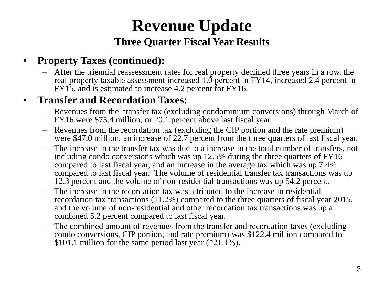## **Revenue Update Three Quarter Fiscal Year Results**

#### • **Property Taxes (continued):**

– After the triennial reassessment rates for real property declined three years in a row, the real property taxable assessment increased 1.0 percent in FY14, increased 2.4 percent in FY15, and is estimated to increase 4.2 percent for FY16.

#### • **Transfer and Recordation Taxes:**

- Revenues from the transfer tax (excluding condominium conversions) through March of FY16 were \$75.4 million, or 20.1 percent above last fiscal year.
- Revenues from the recordation tax (excluding the CIP portion and the rate premium) were \$47.0 million, an increase of 22.7 percent from the three quarters of last fiscal year.
- The increase in the transfer tax was due to a increase in the total number of transfers, not including condo conversions which was up 12.5% during the three quarters of FY16 compared to last fiscal year, and an increase in the average tax which was up 7.4% compared to last fiscal year. The volume of residential transfer tax transactions was up 12.3 percent and the volume of non-residential transactions was up 54.2 percent.
- The increase in the recordation tax was attributed to the increase in residential recordation tax transactions (11.2%) compared to the three quarters of fiscal year 2015, and the volume of non-residential and other recordation tax transactions was up a combined 5.2 percent compared to last fiscal year.
- The combined amount of revenues from the transfer and recordation taxes (excluding condo conversions, CIP portion, and rate premium) was \$122.4 million compared to \$101.1 million for the same period last year ( $\uparrow$ 21.1%).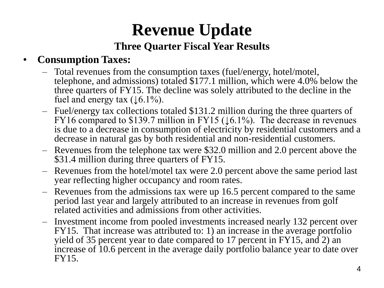### **Revenue Update Three Quarter Fiscal Year Results**

### • **Consumption Taxes:**

- Total revenues from the consumption taxes (fuel/energy, hotel/motel, telephone, and admissions) totaled \$177.1 million, which were 4.0% below the three quarters of FY15. The decline was solely attributed to the decline in the fuel and energy tax  $(16.1\%)$ .
- Fuel/energy tax collections totaled \$131.2 million during the three quarters of FY16 compared to \$139.7 million in FY15 ( $\downarrow$ 6.1%). The decrease in revenues is due to a decrease in consumption of electricity by residential customers and a decrease in natural gas by both residential and non-residential customers.
- Revenues from the telephone tax were \$32.0 million and 2.0 percent above the \$31.4 million during three quarters of FY15.
- Revenues from the hotel/motel tax were 2.0 percent above the same period last year reflecting higher occupancy and room rates.
- Revenues from the admissions tax were up 16.5 percent compared to the same period last year and largely attributed to an increase in revenues from golf related activities and admissions from other activities.
- Investment income from pooled investments increased nearly 132 percent over FY15. That increase was attributed to: 1) an increase in the average portfolio yield of 35 percent year to date compared to 17 percent in FY15, and 2) an increase of 10.6 percent in the average daily portfolio balance year to date over FY15.